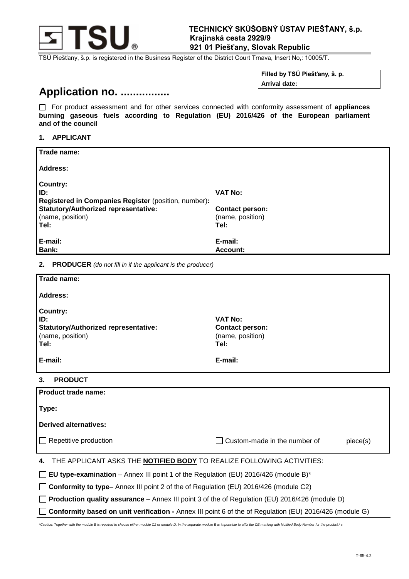

TSÚ Piešťany, š.p. is registered in the Business Register of the District Court Trnava, Insert No,: 10005/T.

**Filled by TSÚ Piešťany, š. p. Arrival date:**

# **Application no. ................**

 For product assessment and for other services connected with conformity assessment of **appliances burning gaseous fuels according to Regulation (EU) 2016/426 of the European parliament and of the council**

#### **1. APPLICANT**

| Trade name:                                                                                    |                                            |  |  |
|------------------------------------------------------------------------------------------------|--------------------------------------------|--|--|
|                                                                                                |                                            |  |  |
| <b>Address:</b>                                                                                |                                            |  |  |
| Country:                                                                                       |                                            |  |  |
| ID:                                                                                            | <b>VAT No:</b>                             |  |  |
| Registered in Companies Register (position, number):                                           |                                            |  |  |
| <b>Statutory/Authorized representative:</b><br>(name, position)                                | <b>Contact person:</b><br>(name, position) |  |  |
| Tel:                                                                                           | Tel:                                       |  |  |
|                                                                                                |                                            |  |  |
| E-mail:<br><b>Bank:</b>                                                                        | E-mail:<br><b>Account:</b>                 |  |  |
|                                                                                                |                                            |  |  |
| <b>PRODUCER</b> (do not fill in if the applicant is the producer)<br>2.                        |                                            |  |  |
| Trade name:                                                                                    |                                            |  |  |
| <b>Address:</b>                                                                                |                                            |  |  |
| <b>Country:</b>                                                                                |                                            |  |  |
| ID:                                                                                            | <b>VAT No:</b>                             |  |  |
| <b>Statutory/Authorized representative:</b>                                                    | <b>Contact person:</b>                     |  |  |
| (name, position)<br>Tel:                                                                       | (name, position)<br>Tel:                   |  |  |
|                                                                                                |                                            |  |  |
| E-mail:                                                                                        | E-mail:                                    |  |  |
| <b>PRODUCT</b><br>3.                                                                           |                                            |  |  |
| <b>Product trade name:</b>                                                                     |                                            |  |  |
| Type:                                                                                          |                                            |  |  |
|                                                                                                |                                            |  |  |
| <b>Derived alternatives:</b>                                                                   |                                            |  |  |
| Repetitive production<br>$\Box$                                                                | Custom-made in the number of<br>piece(s)   |  |  |
|                                                                                                |                                            |  |  |
| THE APPLICANT ASKS THE <b>NOTIFIED BODY</b> TO REALIZE FOLLOWING ACTIVITIES:<br>4.             |                                            |  |  |
| EU type-examination - Annex III point 1 of the Regulation (EU) 2016/426 (module B)*            |                                            |  |  |
| Conformity to type- Annex III point 2 of the of Regulation (EU) 2016/426 (module C2)           |                                            |  |  |
| Production quality assurance - Annex III point 3 of the of Regulation (EU) 2016/426 (module D) |                                            |  |  |

**Conformity based on unit verification -** Annex III point 6 of the of Regulation (EU) 2016/426 (module G)

*\*Caution: Together with the module B is required to choose either module C2 or module D. In the separate module B is impossible to affix the CE marking with Notified Body Number for the product / s.*